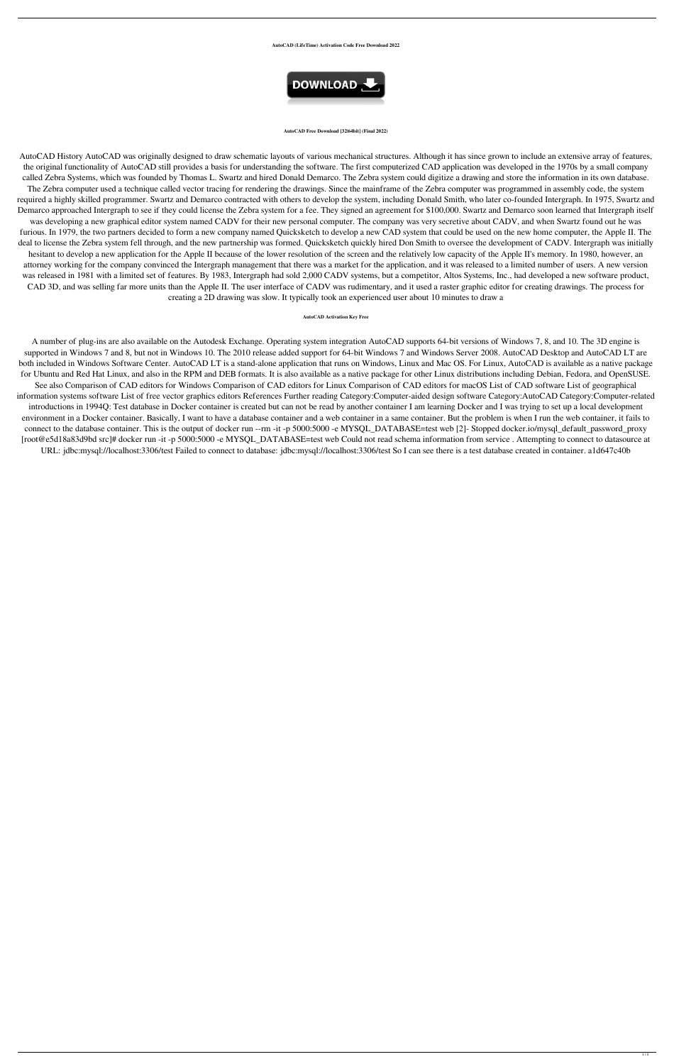### **AutoCAD (LifeTime) Activation Code Free Download 2022**



### **AutoCAD Free Download [32|64bit] (Final 2022)**

AutoCAD History AutoCAD was originally designed to draw schematic layouts of various mechanical structures. Although it has since grown to include an extensive array of features, the original functionality of AutoCAD still provides a basis for understanding the software. The first computerized CAD application was developed in the 1970s by a small company called Zebra Systems, which was founded by Thomas L. Swartz and hired Donald Demarco. The Zebra system could digitize a drawing and store the information in its own database. The Zebra computer used a technique called vector tracing for rendering the drawings. Since the mainframe of the Zebra computer was programmed in assembly code, the system required a highly skilled programmer. Swartz and Demarco contracted with others to develop the system, including Donald Smith, who later co-founded Intergraph. In 1975, Swartz and Demarco approached Intergraph to see if they could license the Zebra system for a fee. They signed an agreement for \$100,000. Swartz and Demarco soon learned that Intergraph itself was developing a new graphical editor system named CADV for their new personal computer. The company was very secretive about CADV, and when Swartz found out he was furious. In 1979, the two partners decided to form a new company named Quicksketch to develop a new CAD system that could be used on the new home computer, the Apple II. The deal to license the Zebra system fell through, and the new partnership was formed. Quicksketch quickly hired Don Smith to oversee the development of CADV. Intergraph was initially hesitant to develop a new application for the Apple II because of the lower resolution of the screen and the relatively low capacity of the Apple II's memory. In 1980, however, an attorney working for the company convinced the Intergraph management that there was a market for the application, and it was released to a limited number of users. A new version was released in 1981 with a limited set of features. By 1983, Intergraph had sold 2,000 CADV systems, but a competitor, Altos Systems, Inc., had developed a new software product, CAD 3D, and was selling far more units than the Apple II. The user interface of CADV was rudimentary, and it used a raster graphic editor for creating drawings. The process for creating a 2D drawing was slow. It typically took an experienced user about 10 minutes to draw a

### **AutoCAD Activation Key Free**

A number of plug-ins are also available on the Autodesk Exchange. Operating system integration AutoCAD supports 64-bit versions of Windows 7, 8, and 10. The 3D engine is supported in Windows 7 and 8, but not in Windows 10. The 2010 release added support for 64-bit Windows 7 and Windows Server 2008. AutoCAD Desktop and AutoCAD LT are both included in Windows Software Center. AutoCAD LT is a stand-alone application that runs on Windows, Linux and Mac OS. For Linux, AutoCAD is available as a native package for Ubuntu and Red Hat Linux, and also in the RPM and DEB formats. It is also available as a native package for other Linux distributions including Debian, Fedora, and OpenSUSE. See also Comparison of CAD editors for Windows Comparison of CAD editors for Linux Comparison of CAD editors for macOS List of CAD software List of geographical information systems software List of free vector graphics editors References Further reading Category:Computer-aided design software Category:AutoCAD Category:Computer-related introductions in 1994Q: Test database in Docker container is created but can not be read by another container I am learning Docker and I was trying to set up a local development environment in a Docker container. Basically, I want to have a database container and a web container in a same container. But the problem is when I run the web container, it fails to connect to the database container. This is the output of docker run --rm -it -p 5000:5000 -e MYSQL\_DATABASE=test web [2]- Stopped docker.io/mysql\_default\_password\_proxy [root@e5d18a83d9bd src]# docker run -it -p 5000:5000 -e MYSQL\_DATABASE=test web Could not read schema information from service . Attempting to connect to datasource at URL: jdbc:mysql://localhost:3306/test Failed to connect to database: jdbc:mysql://localhost:3306/test So I can see there is a test database created in container. a1d647c40b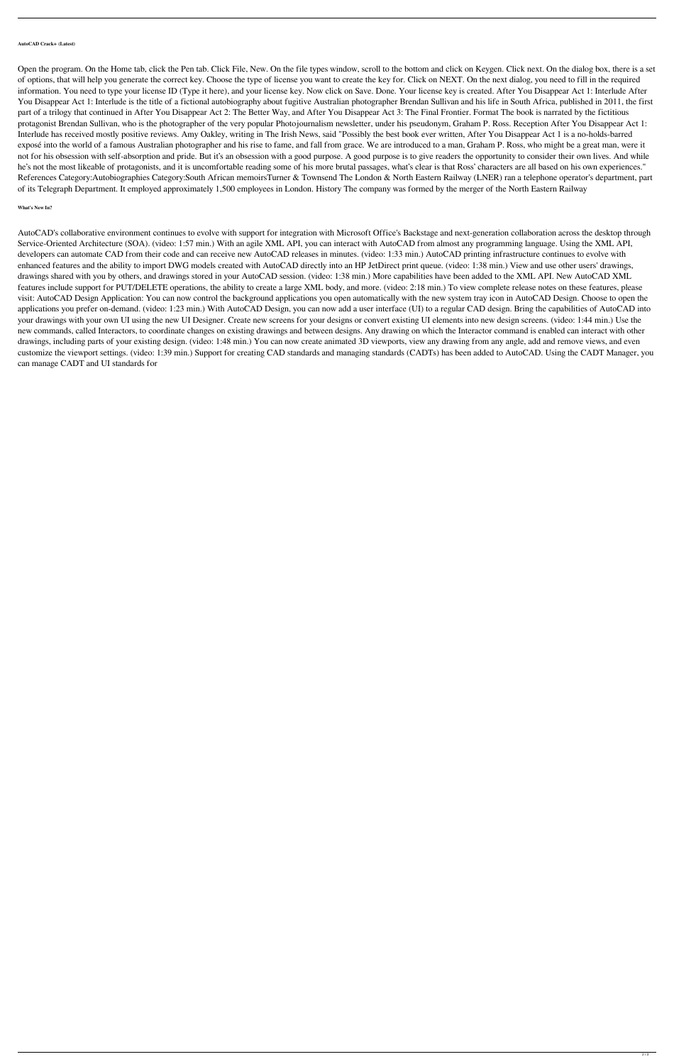## **AutoCAD Crack+ (Latest)**

Open the program. On the Home tab, click the Pen tab. Click File, New. On the file types window, scroll to the bottom and click on Keygen. Click next. On the dialog box, there is a set of options, that will help you generate the correct key. Choose the type of license you want to create the key for. Click on NEXT. On the next dialog, you need to fill in the required information. You need to type your license ID (Type it here), and your license key. Now click on Save. Done. Your license key is created. After You Disappear Act 1: Interlude After You Disappear Act 1: Interlude is the title of a fictional autobiography about fugitive Australian photographer Brendan Sullivan and his life in South Africa, published in 2011, the first part of a trilogy that continued in After You Disappear Act 2: The Better Way, and After You Disappear Act 3: The Final Frontier. Format The book is narrated by the fictitious protagonist Brendan Sullivan, who is the photographer of the very popular Photojournalism newsletter, under his pseudonym, Graham P. Ross. Reception After You Disappear Act 1: Interlude has received mostly positive reviews. Amy Oakley, writing in The Irish News, said "Possibly the best book ever written, After You Disappear Act 1 is a no-holds-barred exposé into the world of a famous Australian photographer and his rise to fame, and fall from grace. We are introduced to a man, Graham P. Ross, who might be a great man, were it not for his obsession with self-absorption and pride. But it's an obsession with a good purpose. A good purpose is to give readers the opportunity to consider their own lives. And while he's not the most likeable of protagonists, and it is uncomfortable reading some of his more brutal passages, what's clear is that Ross' characters are all based on his own experiences." References Category:Autobiographies Category:South African memoirsTurner & Townsend The London & North Eastern Railway (LNER) ran a telephone operator's department, part of its Telegraph Department. It employed approximately 1,500 employees in London. History The company was formed by the merger of the North Eastern Railway

# **What's New In?**

AutoCAD's collaborative environment continues to evolve with support for integration with Microsoft Office's Backstage and next-generation collaboration across the desktop through Service-Oriented Architecture (SOA). (video: 1:57 min.) With an agile XML API, you can interact with AutoCAD from almost any programming language. Using the XML API, developers can automate CAD from their code and can receive new AutoCAD releases in minutes. (video: 1:33 min.) AutoCAD printing infrastructure continues to evolve with enhanced features and the ability to import DWG models created with AutoCAD directly into an HP JetDirect print queue. (video: 1:38 min.) View and use other users' drawings, drawings shared with you by others, and drawings stored in your AutoCAD session. (video: 1:38 min.) More capabilities have been added to the XML API. New AutoCAD XML features include support for PUT/DELETE operations, the ability to create a large XML body, and more. (video: 2:18 min.) To view complete release notes on these features, please visit: AutoCAD Design Application: You can now control the background applications you open automatically with the new system tray icon in AutoCAD Design. Choose to open the applications you prefer on-demand. (video: 1:23 min.) With AutoCAD Design, you can now add a user interface (UI) to a regular CAD design. Bring the capabilities of AutoCAD into your drawings with your own UI using the new UI Designer. Create new screens for your designs or convert existing UI elements into new design screens. (video: 1:44 min.) Use the new commands, called Interactors, to coordinate changes on existing drawings and between designs. Any drawing on which the Interactor command is enabled can interact with other drawings, including parts of your existing design. (video: 1:48 min.) You can now create animated 3D viewports, view any drawing from any angle, add and remove views, and even customize the viewport settings. (video: 1:39 min.) Support for creating CAD standards and managing standards (CADTs) has been added to AutoCAD. Using the CADT Manager, you can manage CADT and UI standards for